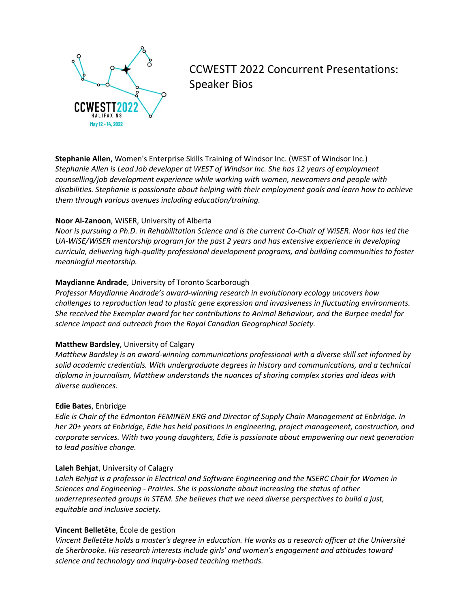

# CCWESTT 2022 Concurrent Presentations: Speaker Bios

**Stephanie Allen**, Women's Enterprise Skills Training of Windsor Inc. (WEST of Windsor Inc.) *Stephanie Allen is Lead Job developer at WEST of Windsor Inc. She has 12 years of employment counselling/job development experience while working with women, newcomers and people with disabilities. Stephanie is passionate about helping with their employment goals and learn how to achieve them through various avenues including education/training.*

#### **Noor Al-Zanoon**, WiSER, University of Alberta

*Noor is pursuing a Ph.D. in Rehabilitation Science and is the current Co-Chair of WiSER. Noor has led the UA-WiSE/WiSER mentorship program for the past 2 years and has extensive experience in developing curricula, delivering high-quality professional development programs, and building communities to foster meaningful mentorship.*

## **Maydianne Andrade**, University of Toronto Scarborough

*Professor Maydianne Andrade's award-winning research in evolutionary ecology uncovers how challenges to reproduction lead to plastic gene expression and invasiveness in fluctuating environments. She received the Exemplar award for her contributions to Animal Behaviour, and the Burpee medal for science impact and outreach from the Royal Canadian Geographical Society.*

#### **Matthew Bardsley**, University of Calgary

*Matthew Bardsley is an award-winning communications professional with a diverse skill set informed by solid academic credentials. With undergraduate degrees in history and communications, and a technical diploma in journalism, Matthew understands the nuances of sharing complex stories and ideas with diverse audiences.*

#### **Edie Bates**, Enbridge

*Edie is Chair of the Edmonton FEMINEN ERG and Director of Supply Chain Management at Enbridge. In her 20+ years at Enbridge, Edie has held positions in engineering, project management, construction, and corporate services. With two young daughters, Edie is passionate about empowering our next generation to lead positive change.*

#### **Laleh Behjat**, University of Calagry

Laleh Behjat is a professor in Electrical and Software Engineering and the NSERC Chair for Women in *Sciences and Engineering - Prairies. She is passionate about increasing the status of other underrepresented groups in STEM. She believes that we need diverse perspectives to build a just, equitable and inclusive society.*

#### **Vincent Belletête**, École de gestion

*Vincent Belletête holds a master's degree in education. He works as a research officer at the Université de Sherbrooke. His research interests include girls' and women's engagement and attitudes toward science and technology and inquiry-based teaching methods.*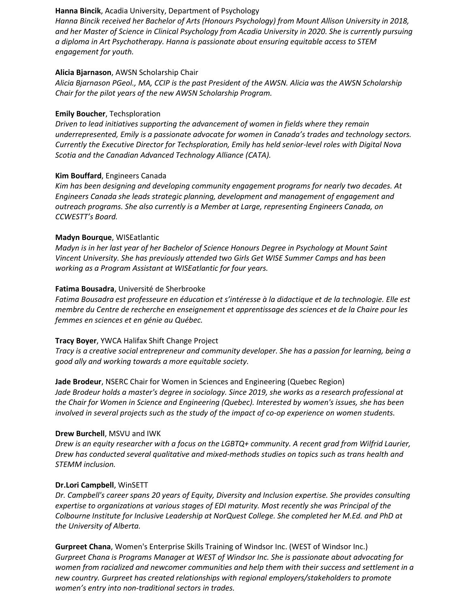#### **Hanna Bincik**, Acadia University, Department of Psychology

*Hanna Bincik received her Bachelor of Arts (Honours Psychology) from Mount Allison University in 2018, and her Master of Science in Clinical Psychology from Acadia University in 2020. She is currently pursuing a diploma in Art Psychotherapy. Hanna is passionate about ensuring equitable access to STEM engagement for youth.*

### **Alicia Bjarnason**, AWSN Scholarship Chair

*Alicia Bjarnason PGeol., MA, CCIP is the past President of the AWSN. Alicia was the AWSN Scholarship Chair for the pilot years of the new AWSN Scholarship Program.*

## **Emily Boucher**, Techsploration

*Driven to lead initiatives supporting the advancement of women in fields where they remain underrepresented, Emily is a passionate advocate for women in Canada's trades and technology sectors. Currently the Executive Director for Techsploration, Emily has held senior-level roles with Digital Nova Scotia and the Canadian Advanced Technology Alliance (CATA).*

## **Kim Bouffard**, Engineers Canada

*Kim has been designing and developing community engagement programs for nearly two decades. At Engineers Canada she leads strategic planning, development and management of engagement and outreach programs. She also currently is a Member at Large, representing Engineers Canada, on CCWESTT's Board.*

## **Madyn Bourque**, WISEatlantic

*Madyn is in her last year of her Bachelor of Science Honours Degree in Psychology at Mount Saint Vincent University. She has previously attended two Girls Get WISE Summer Camps and has been working as a Program Assistant at WISEatlantic for four years.*

## **Fatima Bousadra**, Université de Sherbrooke

*Fatima Bousadra est professeure en éducation et s'intéresse à la didactique et de la technologie. Elle est membre du Centre de recherche en enseignement et apprentissage des sciences et de la Chaire pour les femmes en sciences et en génie au Québec.*

#### **Tracy Boyer**, YWCA Halifax Shift Change Project

*Tracy is a creative social entrepreneur and community developer. She has a passion for learning, being a good ally and working towards a more equitable society.*

# **Jade Brodeur**, NSERC Chair for Women in Sciences and Engineering (Quebec Region)

*Jade Brodeur holds a master's degree in sociology. Since 2019, she works as a research professional at the Chair for Women in Science and Engineering (Quebec). Interested by women's issues, she has been involved in several projects such as the study of the impact of co-op experience on women students.*

#### **Drew Burchell**, MSVU and IWK

*Drew is an equity researcher with a focus on the LGBTQ+ community. A recent grad from Wilfrid Laurier, Drew has conducted several qualitative and mixed-methods studies on topics such as trans health and STEMM inclusion.*

#### **Dr.Lori Campbell**, WinSETT

*Dr. Campbell's career spans 20 years of Equity, Diversity and Inclusion expertise. She provides consulting expertise to organizations at various stages of EDI maturity. Most recently she was Principal of the Colbourne Institute for Inclusive Leadership at NorQuest College. She completed her M.Ed. and PhD at the University of Alberta.*

**Gurpreet Chana**, Women's Enterprise Skills Training of Windsor Inc. (WEST of Windsor Inc.) *Gurpreet Chana is Programs Manager at WEST of Windsor Inc. She is passionate about advocating for women from racialized and newcomer communities and help them with their success and settlement in a new country. Gurpreet has created relationships with regional employers/stakeholders to promote women's entry into non-traditional sectors in trades.*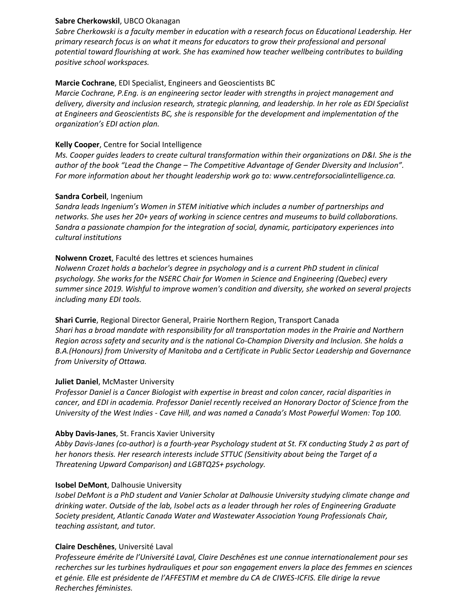#### **Sabre Cherkowskil**, UBCO Okanagan

*Sabre Cherkowski is a faculty member in education with a research focus on Educational Leadership. Her primary research focus is on what it means for educators to grow their professional and personal potential toward flourishing at work. She has examined how teacher wellbeing contributes to building positive school workspaces.*

## **Marcie Cochrane**, EDI Specialist, Engineers and Geoscientists BC

*Marcie Cochrane, P.Eng. is an engineering sector leader with strengths in project management and delivery, diversity and inclusion research, strategic planning, and leadership. In her role as EDI Specialist at Engineers and Geoscientists BC, she is responsible for the development and implementation of the organization's EDI action plan.*

### **Kelly Cooper**, Centre for Social Intelligence

*Ms. Cooper guides leaders to create cultural transformation within their organizations on D&I. She is the author of the book "Lead the Change – The Competitive Advantage of Gender Diversity and Inclusion". For more information about her thought leadership work go to: www.centreforsocialintelligence.ca.*

#### **Sandra Corbeil**, Ingenium

*Sandra leads Ingenium's Women in STEM initiative which includes a number of partnerships and networks. She uses her 20+ years of working in science centres and museums to build collaborations. Sandra a passionate champion for the integration of social, dynamic, participatory experiences into cultural institutions*

## **Nolwenn Crozet**, Faculté des lettres et sciences humaines

*Nolwenn Crozet holds a bachelor's degree in psychology and is a current PhD student in clinical psychology. She works for the NSERC Chair for Women in Science and Engineering (Quebec) every summer since 2019. Wishful to improve women's condition and diversity, she worked on several projects including many EDI tools.*

**Shari Currie**, Regional Director General, Prairie Northern Region, Transport Canada *Shari has a broad mandate with responsibility for all transportation modes in the Prairie and Northern Region across safety and security and is the national Co-Champion Diversity and Inclusion. She holds a B.A.(Honours) from University of Manitoba and a Certificate in Public Sector Leadership and Governance from University of Ottawa.*

#### **Juliet Daniel**, McMaster University

*Professor Daniel is a Cancer Biologist with expertise in breast and colon cancer, racial disparities in cancer, and EDI in academia. Professor Daniel recently received an Honorary Doctor of Science from the University of the West Indies - Cave Hill, and was named a Canada's Most Powerful Women: Top 100.*

#### **Abby Davis-Janes**, St. Francis Xavier University

*Abby Davis-Janes (co-author) is a fourth-year Psychology student at St. FX conducting Study 2 as part of her honors thesis. Her research interests include STTUC (Sensitivity about being the Target of a Threatening Upward Comparison) and LGBTQ2S+ psychology.*

#### **Isobel DeMont**, Dalhousie University

*Isobel DeMont is a PhD student and Vanier Scholar at Dalhousie University studying climate change and drinking water. Outside of the lab, Isobel acts as a leader through her roles of Engineering Graduate Society president, Atlantic Canada Water and Wastewater Association Young Professionals Chair, teaching assistant, and tutor.*

#### **Claire Deschênes**, Université Laval

*Professeure émérite de l'Université Laval, Claire Deschênes est une connue internationalement pour ses recherches sur les turbines hydrauliques et pour son engagement envers la place des femmes en sciences et génie. Elle est présidente de l'AFFESTIM et membre du CA de CIWES-ICFIS. Elle dirige la revue Recherches féministes.*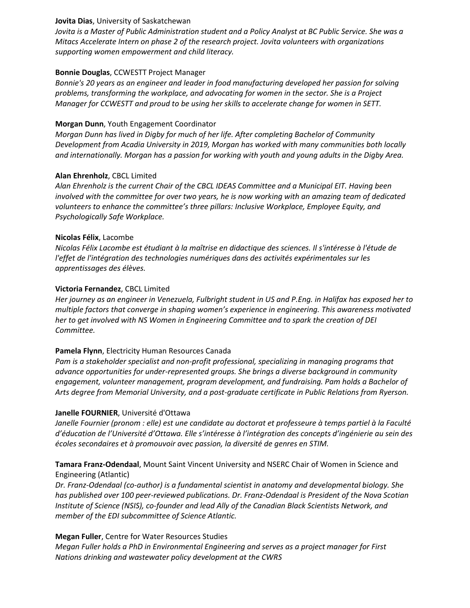### **Jovita Dias**, University of Saskatchewan

*Jovita is a Master of Public Administration student and a Policy Analyst at BC Public Service. She was a Mitacs Accelerate Intern on phase 2 of the research project. Jovita volunteers with organizations supporting women empowerment and child literacy.*

## **Bonnie Douglas**, CCWESTT Project Manager

*Bonnie's 20 years as an engineer and leader in food manufacturing developed her passion for solving problems, transforming the workplace, and advocating for women in the sector. She is a Project Manager for CCWESTT and proud to be using her skills to accelerate change for women in SETT.*

# **Morgan Dunn**, Youth Engagement Coordinator

*Morgan Dunn has lived in Digby for much of her life. After completing Bachelor of Community Development from Acadia University in 2019, Morgan has worked with many communities both locally and internationally. Morgan has a passion for working with youth and young adults in the Digby Area.*

## **Alan Ehrenholz**, CBCL Limited

*Alan Ehrenholz is the current Chair of the CBCL IDEAS Committee and a Municipal EIT. Having been involved with the committee for over two years, he is now working with an amazing team of dedicated volunteers to enhance the committee's three pillars: Inclusive Workplace, Employee Equity, and Psychologically Safe Workplace.*

## **Nicolas Félix**, Lacombe

*Nicolas Félix Lacombe est étudiant à la maîtrise en didactique des sciences. Il s'intéresse à l'étude de l'effet de l'intégration des technologies numériques dans des activités expérimentales sur les apprentissages des élèves.*

## **Victoria Fernandez**, CBCL Limited

*Her journey as an engineer in Venezuela, Fulbright student in US and P.Eng. in Halifax has exposed her to multiple factors that converge in shaping women's experience in engineering. This awareness motivated her to get involved with NS Women in Engineering Committee and to spark the creation of DEI Committee.*

# **Pamela Flynn**, Electricity Human Resources Canada

*Pam is a stakeholder specialist and non-profit professional, specializing in managing programs that advance opportunities for under-represented groups. She brings a diverse background in community engagement, volunteer management, program development, and fundraising. Pam holds a Bachelor of Arts degree from Memorial University, and a post-graduate certificate in Public Relations from Ryerson.*

#### **Janelle FOURNIER**, Université d'Ottawa

*Janelle Fournier (pronom : elle) est une candidate au doctorat et professeure à temps partiel à la Faculté d'éducation de l'Université d'Ottawa. Elle s'intéresse à l'intégration des concepts d'ingénierie au sein des écoles secondaires et à promouvoir avec passion, la diversité de genres en STIM.*

# **Tamara Franz-Odendaal**, Mount Saint Vincent University and NSERC Chair of Women in Science and Engineering (Atlantic)

*Dr. Franz-Odendaal (co-author) is a fundamental scientist in anatomy and developmental biology. She has published over 100 peer-reviewed publications. Dr. Franz-Odendaal is President of the Nova Scotian Institute of Science (NSIS), co-founder and lead Ally of the Canadian Black Scientists Network, and member of the EDI subcommittee of Science Atlantic.*

# **Megan Fuller**, Centre for Water Resources Studies

*Megan Fuller holds a PhD in Environmental Engineering and serves as a project manager for First Nations drinking and wastewater policy development at the CWRS*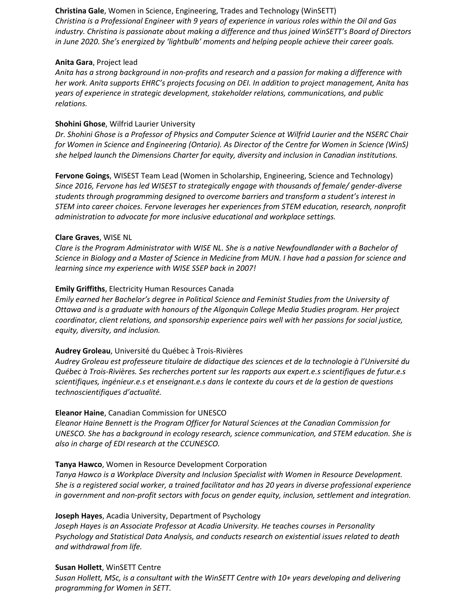**Christina Gale**, Women in Science, Engineering, Trades and Technology (WinSETT) *Christina is a Professional Engineer with 9 years of experience in various roles within the Oil and Gas industry. Christina is passionate about making a difference and thus joined WinSETT's Board of Directors in June 2020. She's energized by 'lightbulb' moments and helping people achieve their career goals.*

#### **Anita Gara**, Project lead

*Anita has a strong background in non-profits and research and a passion for making a difference with her work. Anita supports EHRC's projects focusing on DEI. In addition to project management, Anita has years of experience in strategic development, stakeholder relations, communications, and public relations.*

#### **Shohini Ghose**, Wilfrid Laurier University

*Dr. Shohini Ghose is a Professor of Physics and Computer Science at Wilfrid Laurier and the NSERC Chair for Women in Science and Engineering (Ontario). As Director of the Centre for Women in Science (WinS) she helped launch the Dimensions Charter for equity, diversity and inclusion in Canadian institutions.*

**Fervone Goings**, WISEST Team Lead (Women in Scholarship, Engineering, Science and Technology) *Since 2016, Fervone has led WISEST to strategically engage with thousands of female/ gender-diverse students through programming designed to overcome barriers and transform a student's interest in STEM into career choices. Fervone leverages her experiences from STEM education, research, nonprofit administration to advocate for more inclusive educational and workplace settings.*

#### **Clare Graves**, WISE NL

*Clare is the Program Administrator with WISE NL. She is a native Newfoundlander with a Bachelor of Science in Biology and a Master of Science in Medicine from MUN. I have had a passion for science and learning since my experience with WISE SSEP back in 2007!*

#### **Emily Griffiths**, Electricity Human Resources Canada

*Emily earned her Bachelor's degree in Political Science and Feminist Studies from the University of Ottawa and is a graduate with honours of the Algonquin College Media Studies program. Her project coordinator, client relations, and sponsorship experience pairs well with her passions for social justice, equity, diversity, and inclusion.*

#### **Audrey Groleau**, Université du Québec à Trois-Rivières

*Audrey Groleau est professeure titulaire de didactique des sciences et de la technologie à l'Université du Québec à Trois-Rivières. Ses recherches portent sur les rapports aux expert.e.s scientifiques de futur.e.s scientifiques, ingénieur.e.s et enseignant.e.s dans le contexte du cours et de la gestion de questions technoscientifiques d'actualité.*

#### **Eleanor Haine**, Canadian Commission for UNESCO

*Eleanor Haine Bennett is the Program Officer for Natural Sciences at the Canadian Commission for UNESCO. She has a background in ecology research, science communication, and STEM education. She is also in charge of EDI research at the CCUNESCO.*

#### **Tanya Hawco**, Women in Resource Development Corporation

*Tanya Hawco is a Workplace Diversity and Inclusion Specialist with Women in Resource Development. She is a registered social worker, a trained facilitator and has 20 years in diverse professional experience in government and non-profit sectors with focus on gender equity, inclusion, settlement and integration.*

#### **Joseph Hayes**, Acadia University, Department of Psychology

*Joseph Hayes is an Associate Professor at Acadia University. He teaches courses in Personality Psychology and Statistical Data Analysis, and conducts research on existential issues related to death and withdrawal from life.*

#### **Susan Hollett**, WinSETT Centre

*Susan Hollett, MSc, is a consultant with the WinSETT Centre with 10+ years developing and delivering programming for Women in SETT.*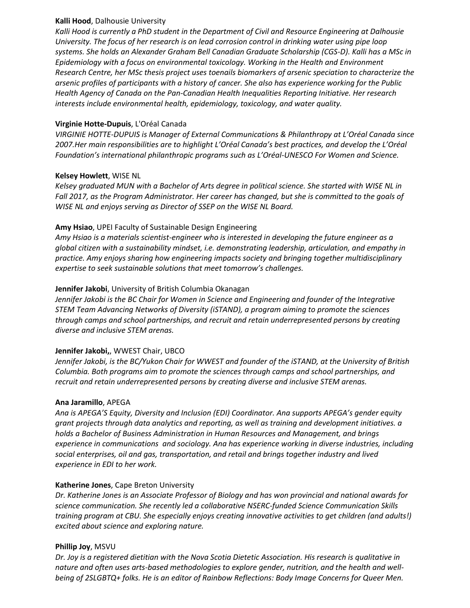#### **Kalli Hood**, Dalhousie University

*Kalli Hood is currently a PhD student in the Department of Civil and Resource Engineering at Dalhousie University. The focus of her research is on lead corrosion control in drinking water using pipe loop systems. She holds an Alexander Graham Bell Canadian Graduate Scholarship (CGS-D). Kalli has a MSc in Epidemiology with a focus on environmental toxicology. Working in the Health and Environment Research Centre, her MSc thesis project uses toenails biomarkers of arsenic speciation to characterize the arsenic profiles of participants with a history of cancer. She also has experience working for the Public Health Agency of Canada on the Pan-Canadian Health Inequalities Reporting Initiative. Her research interests include environmental health, epidemiology, toxicology, and water quality.*

# **Virginie Hotte-Dupuis**, L'Oréal Canada

*VIRGINIE HOTTE-DUPUIS is Manager of External Communications & Philanthropy at L'Oréal Canada since 2007.Her main responsibilities are to highlight L'Oréal Canada's best practices, and develop the L'Oréal Foundation's international philanthropic programs such as L'Oréal-UNESCO For Women and Science.*

## **Kelsey Howlett**, WISE NL

*Kelsey graduated MUN with a Bachelor of Arts degree in political science. She started with WISE NL in Fall 2017, as the Program Administrator. Her career has changed, but she is committed to the goals of WISE NL and enjoys serving as Director of SSEP on the WISE NL Board.*

# **Amy Hsiao**, UPEI Faculty of Sustainable Design Engineering

*Amy Hsiao is a materials scientist-engineer who is interested in developing the future engineer as a global citizen with a sustainability mindset, i.e. demonstrating leadership, articulation, and empathy in practice. Amy enjoys sharing how engineering impacts society and bringing together multidisciplinary expertise to seek sustainable solutions that meet tomorrow's challenges.*

# **Jennifer Jakobi**, University of British Columbia Okanagan

*Jennifer Jakobi is the BC Chair for Women in Science and Engineering and founder of the Integrative STEM Team Advancing Networks of Diversity (iSTAND), a program aiming to promote the sciences through camps and school partnerships, and recruit and retain underrepresented persons by creating diverse and inclusive STEM arenas.*

#### **Jennifer Jakobi,**, WWEST Chair, UBCO

*Jennifer Jakobi, is the BC/Yukon Chair for WWEST and founder of the iSTAND, at the University of British Columbia. Both programs aim to promote the sciences through camps and school partnerships, and recruit and retain underrepresented persons by creating diverse and inclusive STEM arenas.*

#### **Ana Jaramillo**, APEGA

*Ana is APEGA'S Equity, Diversity and Inclusion (EDI) Coordinator. Ana supports APEGA's gender equity grant projects through data analytics and reporting, as well as training and development initiatives. a holds a Bachelor of Business Administration in Human Resources and Management, and brings experience in communications and sociology. Ana has experience working in diverse industries, including social enterprises, oil and gas, transportation, and retail and brings together industry and lived experience in EDI to her work.*

# **Katherine Jones**, Cape Breton University

*Dr. Katherine Jones is an Associate Professor of Biology and has won provincial and national awards for science communication. She recently led a collaborative NSERC-funded Science Communication Skills training program at CBU. She especially enjoys creating innovative activities to get children (and adults!) excited about science and exploring nature.*

# **Phillip Joy**, MSVU

*Dr. Joy is a registered dietitian with the Nova Scotia Dietetic Association. His research is qualitative in nature and often uses arts-based methodologies to explore gender, nutrition, and the health and wellbeing of 2SLGBTQ+ folks. He is an editor of Rainbow Reflections: Body Image Concerns for Queer Men.*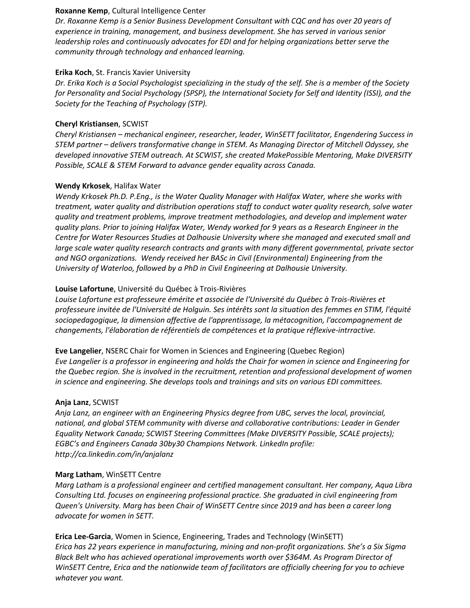#### **Roxanne Kemp**, Cultural Intelligence Center

*Dr. Roxanne Kemp is a Senior Business Development Consultant with CQC and has over 20 years of experience in training, management, and business development. She has served in various senior leadership roles and continuously advocates for EDI and for helping organizations better serve the community through technology and enhanced learning.*

#### **Erika Koch**, St. Francis Xavier University

*Dr. Erika Koch is a Social Psychologist specializing in the study of the self. She is a member of the Society for Personality and Social Psychology (SPSP), the International Society for Self and Identity (ISSI), and the Society for the Teaching of Psychology (STP).*

### **Cheryl Kristiansen**, SCWIST

*Cheryl Kristiansen – mechanical engineer, researcher, leader, WinSETT facilitator, Engendering Success in STEM partner – delivers transformative change in STEM. As Managing Director of Mitchell Odyssey, she developed innovative STEM outreach. At SCWIST, she created MakePossible Mentoring, Make DIVERSITY Possible, SCALE & STEM Forward to advance gender equality across Canada.*

## **Wendy Krkosek**, Halifax Water

*Wendy Krkosek Ph.D. P.Eng., is the Water Quality Manager with Halifax Water, where she works with treatment, water quality and distribution operations staff to conduct water quality research, solve water quality and treatment problems, improve treatment methodologies, and develop and implement water quality plans. Prior to joining Halifax Water, Wendy worked for 9 years as a Research Engineer in the Centre for Water Resources Studies at Dalhousie University where she managed and executed small and large scale water quality research contracts and grants with many different governmental, private sector and NGO organizations. Wendy received her BASc in Civil (Environmental) Engineering from the University of Waterloo, followed by a PhD in Civil Engineering at Dalhousie University.*

## **Louise Lafortune**, Université du Québec à Trois-Rivières

*Louise Lafortune est professeure émérite et associée de l'Université du Québec à Trois-Rivières et professeure invitée de l'Université de Holguin. Ses intérêts sont la situation des femmes en STIM, l'équité sociopedagogique, la dimension affective de l'apprentissage, la métacognition, l'accompagnement de changements, l'élaboration de référentiels de compétences et la pratique réflexive-intrractive.*

**Eve Langelier**, NSERC Chair for Women in Sciences and Engineering (Quebec Region) *Eve Langelier is a professor in engineering and holds the Chair for women in science and Engineering for the Quebec region. She is involved in the recruitment, retention and professional development of women in science and engineering. She develops tools and trainings and sits on various EDI committees.*

#### **Anja Lanz**, SCWIST

*Anja Lanz, an engineer with an Engineering Physics degree from UBC, serves the local, provincial, national, and global STEM community with diverse and collaborative contributions: Leader in Gender Equality Network Canada; SCWIST Steering Committees (Make DIVERSITY Possible, SCALE projects); EGBC's and Engineers Canada 30by30 Champions Network. LinkedIn profile: http://ca.linkedin.com/in/anjalanz*

#### **Marg Latham**, WinSETT Centre

*Marg Latham is a professional engineer and certified management consultant. Her company, Aqua Libra Consulting Ltd. focuses on engineering professional practice. She graduated in civil engineering from Queen's University. Marg has been Chair of WinSETT Centre since 2019 and has been a career long advocate for women in SETT.*

**Erica Lee-Garcia**, Women in Science, Engineering, Trades and Technology (WinSETT) *Erica has 22 years experience in manufacturing, mining and non-profit organizations. She's a Six Sigma Black Belt who has achieved operational improvements worth over \$364M. As Program Director of WinSETT Centre, Erica and the nationwide team of facilitators are officially cheering for you to achieve whatever you want.*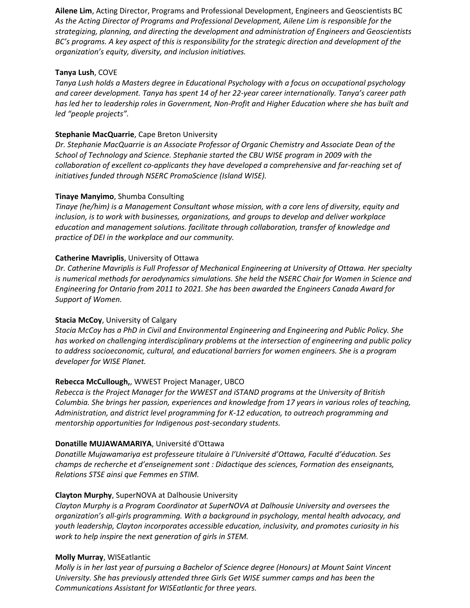**Ailene Lim**, Acting Director, Programs and Professional Development, Engineers and Geoscientists BC *As the Acting Director of Programs and Professional Development, Ailene Lim is responsible for the strategizing, planning, and directing the development and administration of Engineers and Geoscientists BC's programs. A key aspect of this is responsibility for the strategic direction and development of the organization's equity, diversity, and inclusion initiatives.*

### **Tanya Lush**, COVE

*Tanya Lush holds a Masters degree in Educational Psychology with a focus on occupational psychology and career development. Tanya has spent 14 of her 22-year career internationally. Tanya's career path has led her to leadership roles in Government, Non-Profit and Higher Education where she has built and led "people projects".*

# **Stephanie MacQuarrie**, Cape Breton University

*Dr. Stephanie MacQuarrie is an Associate Professor of Organic Chemistry and Associate Dean of the School of Technology and Science. Stephanie started the CBU WISE program in 2009 with the collaboration of excellent co-applicants they have developed a comprehensive and far-reaching set of initiatives funded through NSERC PromoScience (Island WISE).*

## **Tinaye Manyimo**, Shumba Consulting

*Tinaye (he/him) is a Management Consultant whose mission, with a core lens of diversity, equity and inclusion, is to work with businesses, organizations, and groups to develop and deliver workplace education and management solutions. facilitate through collaboration, transfer of knowledge and practice of DEI in the workplace and our community.*

## **Catherine Mavriplis**, University of Ottawa

*Dr. Catherine Mavriplis is Full Professor of Mechanical Engineering at University of Ottawa. Her specialty is numerical methods for aerodynamics simulations. She held the NSERC Chair for Women in Science and Engineering for Ontario from 2011 to 2021. She has been awarded the Engineers Canada Award for Support of Women.*

#### **Stacia McCoy**, University of Calgary

*Stacia McCoy has a PhD in Civil and Environmental Engineering and Engineering and Public Policy. She has worked on challenging interdisciplinary problems at the intersection of engineering and public policy to address socioeconomic, cultural, and educational barriers for women engineers. She is a program developer for WISE Planet.*

# **Rebecca McCullough,**, WWEST Project Manager, UBCO

*Rebecca is the Project Manager for the WWEST and iSTAND programs at the University of British Columbia. She brings her passion, experiences and knowledge from 17 years in various roles of teaching, Administration, and district level programming for K-12 education, to outreach programming and mentorship opportunities for Indigenous post-secondary students.*

#### **Donatille MUJAWAMARIYA**, Université d'Ottawa

*Donatille Mujawamariya est professeure titulaire à l'Université d'Ottawa, Faculté d'éducation. Ses champs de recherche et d'enseignement sont : Didactique des sciences, Formation des enseignants, Relations STSE ainsi que Femmes en STIM.*

#### **Clayton Murphy**, SuperNOVA at Dalhousie University

*Clayton Murphy is a Program Coordinator at SuperNOVA at Dalhousie University and oversees the organization's all-girls programming. With a background in psychology, mental health advocacy, and youth leadership, Clayton incorporates accessible education, inclusivity, and promotes curiosity in his work to help inspire the next generation of girls in STEM.*

#### **Molly Murray**, WISEatlantic

*Molly is in her last year of pursuing a Bachelor of Science degree (Honours) at Mount Saint Vincent University. She has previously attended three Girls Get WISE summer camps and has been the Communications Assistant for WISEatlantic for three years.*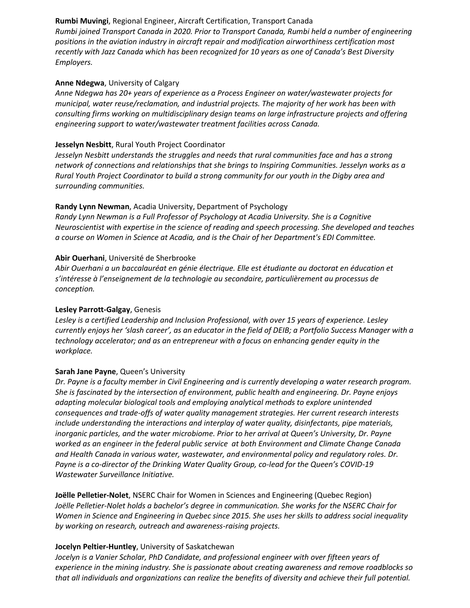# **Rumbi Muvingi**, Regional Engineer, Aircraft Certification, Transport Canada

*Rumbi joined Transport Canada in 2020. Prior to Transport Canada, Rumbi held a number of engineering positions in the aviation industry in aircraft repair and modification airworthiness certification most recently with Jazz Canada which has been recognized for 10 years as one of Canada's Best Diversity Employers.*

### **Anne Ndegwa**, University of Calgary

*Anne Ndegwa has 20+ years of experience as a Process Engineer on water/wastewater projects for municipal, water reuse/reclamation, and industrial projects. The majority of her work has been with consulting firms working on multidisciplinary design teams on large infrastructure projects and offering engineering support to water/wastewater treatment facilities across Canada.*

## **Jesselyn Nesbitt**, Rural Youth Project Coordinator

*Jesselyn Nesbitt understands the struggles and needs that rural communities face and has a strong network of connections and relationships that she brings to Inspiring Communities. Jesselyn works as a Rural Youth Project Coordinator to build a strong community for our youth in the Digby area and surrounding communities.*

# **Randy Lynn Newman**, Acadia University, Department of Psychology

*Randy Lynn Newman is a Full Professor of Psychology at Acadia University. She is a Cognitive Neuroscientist with expertise in the science of reading and speech processing. She developed and teaches a course on Women in Science at Acadia, and is the Chair of her Department's EDI Committee.*

# **Abir Ouerhani**, Université de Sherbrooke

*Abir Ouerhani a un baccalauréat en génie électrique. Elle est étudiante au doctorat en éducation et s'intéresse à l'enseignement de la technologie au secondaire, particulièrement au processus de conception.*

# **Lesley Parrott-Galgay**, Genesis

*Lesley is a certified Leadership and Inclusion Professional, with over 15 years of experience. Lesley currently enjoys her 'slash career', as an educator in the field of DEIB; a Portfolio Success Manager with a technology accelerator; and as an entrepreneur with a focus on enhancing gender equity in the workplace.*

# **Sarah Jane Payne**, Queen's University

*Dr. Payne is a faculty member in Civil Engineering and is currently developing a water research program. She is fascinated by the intersection of environment, public health and engineering. Dr. Payne enjoys adapting molecular biological tools and employing analytical methods to explore unintended consequences and trade-offs of water quality management strategies. Her current research interests include understanding the interactions and interplay of water quality, disinfectants, pipe materials, inorganic particles, and the water microbiome. Prior to her arrival at Queen's University, Dr. Payne worked as an engineer in the federal public service at both Environment and Climate Change Canada and Health Canada in various water, wastewater, and environmental policy and regulatory roles. Dr. Payne is a co-director of the Drinking Water Quality Group, co-lead for the Queen's COVID-19 Wastewater Surveillance Initiative.*

**Joëlle Pelletier-Nolet**, NSERC Chair for Women in Sciences and Engineering (Quebec Region) *Joëlle Pelletier-Nolet holds a bachelor's degree in communication. She works for the NSERC Chair for Women in Science and Engineering in Quebec since 2015. She uses her skills to address social inequality by working on research, outreach and awareness-raising projects.*

# **Jocelyn Peltier-Huntley**, University of Saskatchewan

*Jocelyn is a Vanier Scholar, PhD Candidate, and professional engineer with over fifteen years of experience in the mining industry. She is passionate about creating awareness and remove roadblocks so that all individuals and organizations can realize the benefits of diversity and achieve their full potential.*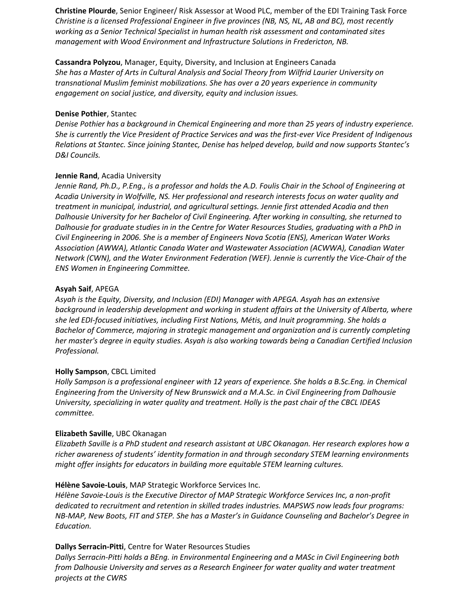**Christine Plourde**, Senior Engineer/ Risk Assessor at Wood PLC, member of the EDI Training Task Force *Christine is a licensed Professional Engineer in five provinces (NB, NS, NL, AB and BC), most recently working as a Senior Technical Specialist in human health risk assessment and contaminated sites management with Wood Environment and Infrastructure Solutions in Fredericton, NB.*

**Cassandra Polyzou**, Manager, Equity, Diversity, and Inclusion at Engineers Canada *She has a Master of Arts in Cultural Analysis and Social Theory from Wilfrid Laurier University on transnational Muslim feminist mobilizations. She has over a 20 years experience in community engagement on social justice, and diversity, equity and inclusion issues.*

#### **Denise Pothier**, Stantec

*Denise Pothier has a background in Chemical Engineering and more than 25 years of industry experience. She is currently the Vice President of Practice Services and was the first-ever Vice President of Indigenous Relations at Stantec. Since joining Stantec, Denise has helped develop, build and now supports Stantec's D&I Councils.*

#### **Jennie Rand**, Acadia University

*Jennie Rand, Ph.D., P.Eng., is a professor and holds the A.D. Foulis Chair in the School of Engineering at Acadia University in Wolfville, NS. Her professional and research interests focus on water quality and treatment in municipal, industrial, and agricultural settings. Jennie first attended Acadia and then Dalhousie University for her Bachelor of Civil Engineering. After working in consulting, she returned to Dalhousie for graduate studies in in the Centre for Water Resources Studies, graduating with a PhD in Civil Engineering in 2006. She is a member of Engineers Nova Scotia (ENS), American Water Works Association (AWWA), Atlantic Canada Water and Wastewater Association (ACWWA), Canadian Water Network (CWN), and the Water Environment Federation (WEF). Jennie is currently the Vice-Chair of the ENS Women in Engineering Committee.*

#### **Asyah Saif**, APEGA

*Asyah is the Equity, Diversity, and Inclusion (EDI) Manager with APEGA. Asyah has an extensive background in leadership development and working in student affairs at the University of Alberta, where she led EDI-focused initiatives, including First Nations, Métis, and Inuit programming. She holds a Bachelor of Commerce, majoring in strategic management and organization and is currently completing her master's degree in equity studies. Asyah is also working towards being a Canadian Certified Inclusion Professional.*

#### **Holly Sampson**, CBCL Limited

*Holly Sampson is a professional engineer with 12 years of experience. She holds a B.Sc.Eng. in Chemical Engineering from the University of New Brunswick and a M.A.Sc. in Civil Engineering from Dalhousie University, specializing in water quality and treatment. Holly is the past chair of the CBCL IDEAS committee.*

#### **Elizabeth Saville**, UBC Okanagan

*Elizabeth Saville is a PhD student and research assistant at UBC Okanagan. Her research explores how a richer awareness of students' identity formation in and through secondary STEM learning environments might offer insights for educators in building more equitable STEM learning cultures.*

#### **Hélène Savoie-Louis**, MAP Strategic Workforce Services Inc.

*Hélène Savoie-Louis is the Executive Director of MAP Strategic Workforce Services Inc, a non-profit dedicated to recruitment and retention in skilled trades industries. MAPSWS now leads four programs: NB-MAP, New Boots, FIT and STEP. She has a Master's in Guidance Counseling and Bachelor's Degree in Education.*

#### **Dallys Serracin-Pitti**, Centre for Water Resources Studies

*Dallys Serracin-Pitti holds a BEng. in Environmental Engineering and a MASc in Civil Engineering both from Dalhousie University and serves as a Research Engineer for water quality and water treatment projects at the CWRS*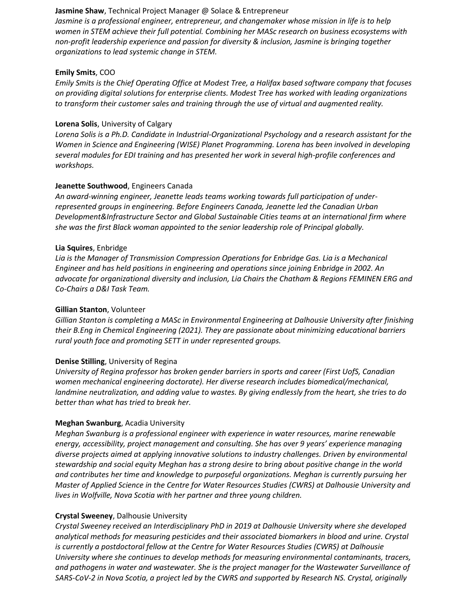#### **Jasmine Shaw**, Technical Project Manager @ Solace & Entrepreneur

*Jasmine is a professional engineer, entrepreneur, and changemaker whose mission in life is to help women in STEM achieve their full potential. Combining her MASc research on business ecosystems with non-profit leadership experience and passion for diversity & inclusion, Jasmine is bringing together organizations to lead systemic change in STEM.*

#### **Emily Smits**, COO

*Emily Smits is the Chief Operating Office at Modest Tree, a Halifax based software company that focuses on providing digital solutions for enterprise clients. Modest Tree has worked with leading organizations to transform their customer sales and training through the use of virtual and augmented reality.*

#### **Lorena Solis**, University of Calgary

*Lorena Solis is a Ph.D. Candidate in Industrial-Organizational Psychology and a research assistant for the Women in Science and Engineering (WISE) Planet Programming. Lorena has been involved in developing several modules for EDI training and has presented her work in several high-profile conferences and workshops.*

## **Jeanette Southwood**, Engineers Canada

*An award-winning engineer, Jeanette leads teams working towards full participation of underrepresented groups in engineering. Before Engineers Canada, Jeanette led the Canadian Urban Development&Infrastructure Sector and Global Sustainable Cities teams at an international firm where she was the first Black woman appointed to the senior leadership role of Principal globally.*

#### **Lia Squires**, Enbridge

*Lia is the Manager of Transmission Compression Operations for Enbridge Gas. Lia is a Mechanical Engineer and has held positions in engineering and operations since joining Enbridge in 2002. An advocate for organizational diversity and inclusion, Lia Chairs the Chatham & Regions FEMINEN ERG and Co-Chairs a D&I Task Team.*

#### **Gillian Stanton**, Volunteer

*Gillian Stanton is completing a MASc in Environmental Engineering at Dalhousie University after finishing their B.Eng in Chemical Engineering (2021). They are passionate about minimizing educational barriers rural youth face and promoting SETT in under represented groups.*

#### **Denise Stilling**, University of Regina

*University of Regina professor has broken gender barriers in sports and career (First UofS, Canadian women mechanical engineering doctorate). Her diverse research includes biomedical/mechanical, landmine neutralization, and adding value to wastes. By giving endlessly from the heart, she tries to do better than what has tried to break her.*

#### **Meghan Swanburg**, Acadia University

*Meghan Swanburg is a professional engineer with experience in water resources, marine renewable energy, accessibility, project management and consulting. She has over 9 years' experience managing diverse projects aimed at applying innovative solutions to industry challenges. Driven by environmental stewardship and social equity Meghan has a strong desire to bring about positive change in the world and contributes her time and knowledge to purposeful organizations. Meghan is currently pursuing her Master of Applied Science in the Centre for Water Resources Studies (CWRS) at Dalhousie University and lives in Wolfville, Nova Scotia with her partner and three young children.*

#### **Crystal Sweeney**, Dalhousie University

*Crystal Sweeney received an Interdisciplinary PhD in 2019 at Dalhousie University where she developed analytical methods for measuring pesticides and their associated biomarkers in blood and urine. Crystal is currently a postdoctoral fellow at the Centre for Water Resources Studies (CWRS) at Dalhousie University where she continues to develop methods for measuring environmental contaminants, tracers, and pathogens in water and wastewater. She is the project manager for the Wastewater Surveillance of SARS-CoV-2 in Nova Scotia, a project led by the CWRS and supported by Research NS. Crystal, originally*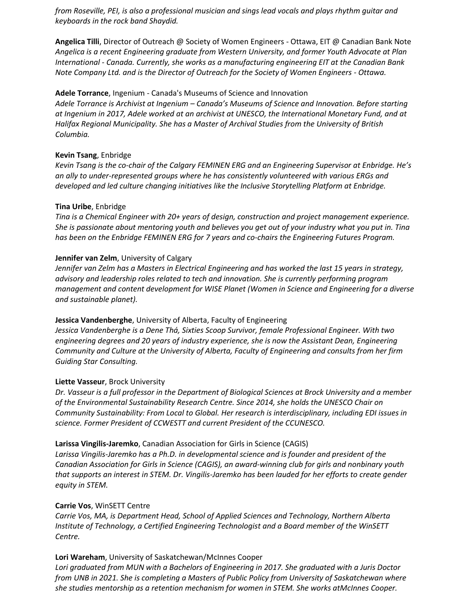*from Roseville, PEI, is also a professional musician and sings lead vocals and plays rhythm guitar and keyboards in the rock band Shaydid.*

**Angelica Tilli**, Director of Outreach @ Society of Women Engineers - Ottawa, EIT @ Canadian Bank Note *Angelica is a recent Engineering graduate from Western University, and former Youth Advocate at Plan International - Canada. Currently, she works as a manufacturing engineering EIT at the Canadian Bank Note Company Ltd. and is the Director of Outreach for the Society of Women Engineers - Ottawa.*

### **Adele Torrance**, Ingenium - Canada's Museums of Science and Innovation

*Adele Torrance is Archivist at Ingenium – Canada's Museums of Science and Innovation. Before starting at Ingenium in 2017, Adele worked at an archivist at UNESCO, the International Monetary Fund, and at Halifax Regional Municipality. She has a Master of Archival Studies from the University of British Columbia.*

### **Kevin Tsang**, Enbridge

*Kevin Tsang is the co-chair of the Calgary FEMINEN ERG and an Engineering Supervisor at Enbridge. He's an ally to under-represented groups where he has consistently volunteered with various ERGs and developed and led culture changing initiatives like the Inclusive Storytelling Platform at Enbridge.*

## **Tina Uribe**, Enbridge

*Tina is a Chemical Engineer with 20+ years of design, construction and project management experience. She is passionate about mentoring youth and believes you get out of your industry what you put in. Tina has been on the Enbridge FEMINEN ERG for 7 years and co-chairs the Engineering Futures Program.*

## **Jennifer van Zelm**, University of Calgary

*Jennifer van Zelm has a Masters in Electrical Engineering and has worked the last 15 years in strategy, advisory and leadership roles related to tech and innovation. She is currently performing program management and content development for WISE Planet (Women in Science and Engineering for a diverse and sustainable planet).*

#### **Jessica Vandenberghe**, University of Alberta, Faculty of Engineering

*Jessica Vandenberghe is a Dene Thá, Sixties Scoop Survivor, female Professional Engineer. With two engineering degrees and 20 years of industry experience, she is now the Assistant Dean, Engineering Community and Culture at the University of Alberta, Faculty of Engineering and consults from her firm Guiding Star Consulting.*

#### **Liette Vasseur**, Brock University

*Dr. Vasseur is a full professor in the Department of Biological Sciences at Brock University and a member of the Environmental Sustainability Research Centre. Since 2014, she holds the UNESCO Chair on Community Sustainability: From Local to Global. Her research is interdisciplinary, including EDI issues in science. Former President of CCWESTT and current President of the CCUNESCO.*

# **Larissa Vingilis-Jaremko**, Canadian Association for Girls in Science (CAGIS)

*Larissa Vingilis-Jaremko has a Ph.D. in developmental science and is founder and president of the Canadian Association for Girls in Science (CAGIS), an award-winning club for girls and nonbinary youth that supports an interest in STEM. Dr. Vingilis-Jaremko has been lauded for her efforts to create gender equity in STEM.*

#### **Carrie Vos**, WinSETT Centre

*Carrie Vos, MA, is Department Head, School of Applied Sciences and Technology, Northern Alberta Institute of Technology, a Certified Engineering Technologist and a Board member of the WinSETT Centre.*

# **Lori Wareham**, University of Saskatchewan/McInnes Cooper

*Lori graduated from MUN with a Bachelors of Engineering in 2017. She graduated with a Juris Doctor from UNB in 2021. She is completing a Masters of Public Policy from University of Saskatchewan where she studies mentorship as a retention mechanism for women in STEM. She works atMcInnes Cooper.*